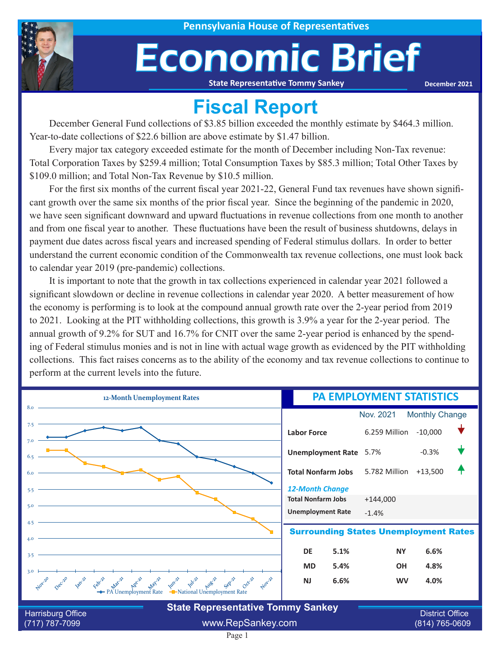

# Economic Brief

**State Representative Tommy Sankey**

**December 2021**

### **Fiscal Report**

December General Fund collections of \$3.85 billion exceeded the monthly estimate by \$464.3 million. Year-to-date collections of \$22.6 billion are above estimate by \$1.47 billion.

Every major tax category exceeded estimate for the month of December including Non-Tax revenue: Total Corporation Taxes by \$259.4 million; Total Consumption Taxes by \$85.3 million; Total Other Taxes by \$109.0 million; and Total Non-Tax Revenue by \$10.5 million.

For the first six months of the current fiscal year 2021-22, General Fund tax revenues have shown significant growth over the same six months of the prior fiscal year. Since the beginning of the pandemic in 2020, we have seen significant downward and upward fluctuations in revenue collections from one month to another and from one fiscal year to another. These fluctuations have been the result of business shutdowns, delays in payment due dates across fiscal years and increased spending of Federal stimulus dollars. In order to better understand the current economic condition of the Commonwealth tax revenue collections, one must look back to calendar year 2019 (pre-pandemic) collections.

It is important to note that the growth in tax collections experienced in calendar year 2021 followed a significant slowdown or decline in revenue collections in calendar year 2020. A better measurement of how the economy is performing is to look at the compound annual growth rate over the 2-year period from 2019 to 2021. Looking at the PIT withholding collections, this growth is 3.9% a year for the 2-year period. The annual growth of 9.2% for SUT and 16.7% for CNIT over the same 2-year period is enhanced by the spending of Federal stimulus monies and is not in line with actual wage growth as evidenced by the PIT withholding collections. This fact raises concerns as to the ability of the economy and tax revenue collections to continue to perform at the current levels into the future.



Page 1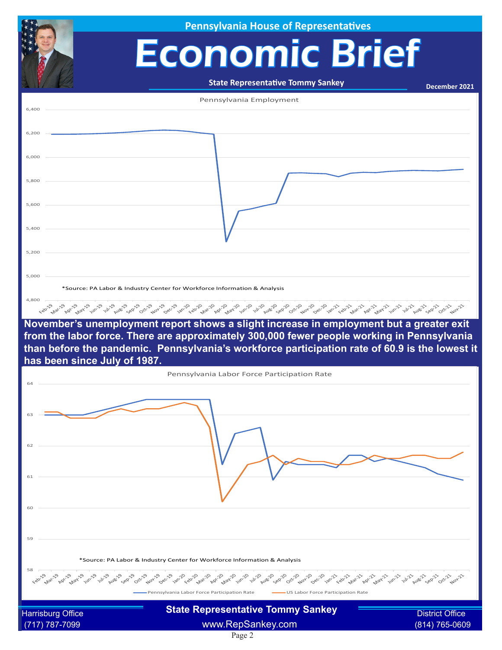|                              | <b>Pennsylvania House of Representatives</b>                                                                                                                                                                                  |                        |
|------------------------------|-------------------------------------------------------------------------------------------------------------------------------------------------------------------------------------------------------------------------------|------------------------|
|                              | <b>Economic Brief</b>                                                                                                                                                                                                         |                        |
|                              |                                                                                                                                                                                                                               |                        |
|                              | <b>State Representative Tommy Sankey</b>                                                                                                                                                                                      | December 2021          |
| 6,400                        | Pennsylvania Employment                                                                                                                                                                                                       |                        |
|                              |                                                                                                                                                                                                                               |                        |
| 6,200                        |                                                                                                                                                                                                                               |                        |
| 6,000                        |                                                                                                                                                                                                                               |                        |
| 5,800                        |                                                                                                                                                                                                                               |                        |
|                              |                                                                                                                                                                                                                               |                        |
| 5,600                        |                                                                                                                                                                                                                               |                        |
| 5,400                        |                                                                                                                                                                                                                               |                        |
| 5,200                        |                                                                                                                                                                                                                               |                        |
| 5,000                        |                                                                                                                                                                                                                               |                        |
|                              | *Source: PA Labor & Industry Center for Workforce Information & Analysis                                                                                                                                                      |                        |
| 4,800                        | ده د به د به استان به د به د به استان به استان به استان به استان به استان به استان به به به استان به استان به استان به استان به استان به استان به استان به استان به استان به استان به استان به استان به استان به استان به است |                        |
|                              | November's unemployment report shows a slight increase in employment but a greater exit                                                                                                                                       |                        |
|                              | from the labor force. There are approximately 300,000 fewer people working in Pennsylvania<br>than before the pandemic. Pennsylvania's workforce participation rate of 60.9 is the lowest it                                  |                        |
| has been since July of 1987. |                                                                                                                                                                                                                               |                        |
| 64                           | Pennsylvania Labor Force Participation Rate                                                                                                                                                                                   |                        |
|                              |                                                                                                                                                                                                                               |                        |
|                              |                                                                                                                                                                                                                               |                        |
| 62                           |                                                                                                                                                                                                                               |                        |
|                              |                                                                                                                                                                                                                               |                        |
| 61                           |                                                                                                                                                                                                                               |                        |
|                              |                                                                                                                                                                                                                               |                        |
| 60                           |                                                                                                                                                                                                                               |                        |
| 59                           |                                                                                                                                                                                                                               |                        |
|                              | *Source: PA Labor & Industry Center for Workforce Information & Analysis                                                                                                                                                      |                        |
|                              |                                                                                                                                                                                                                               |                        |
| 58                           |                                                                                                                                                                                                                               |                        |
|                              | Pennsylvania Labor Force Participation Rate<br>-US Labor Force Participation Rate                                                                                                                                             |                        |
| <b>Harrisburg Office</b>     | <b>State Representative Tommy Sankey</b>                                                                                                                                                                                      | <b>District Office</b> |

Page 2